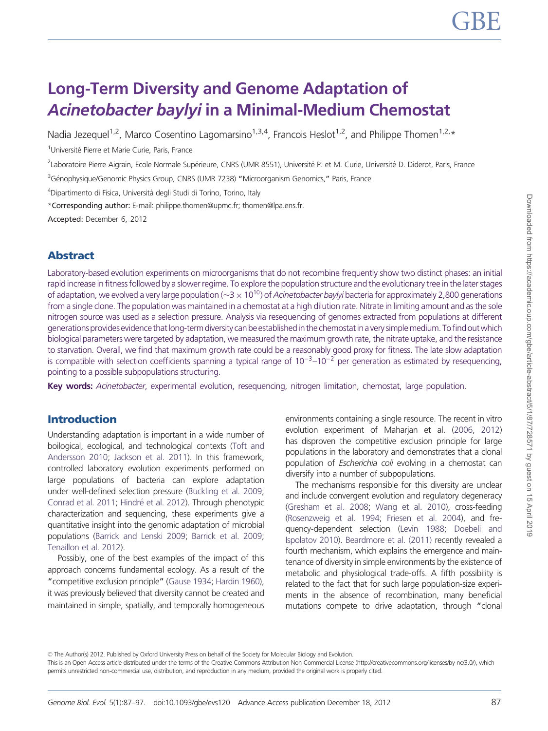# Long-Term Diversity and Genome Adaptation of Acinetobacter baylyi in a Minimal-Medium Chemostat

Nadia Jezequel<sup>1,2</sup>, Marco Cosentino Lagomarsino<sup>1,3,4</sup>, Francois Heslot<sup>1,2</sup>, and Philippe Thomen<sup>1,2,\*</sup>

<sup>1</sup>Université Pierre et Marie Curie, Paris, France

<sup>2</sup>Laboratoire Pierre Aigrain, Ecole Normale Supérieure, CNRS (UMR 8551), Université P. et M. Curie, Université D. Diderot, Paris, France

<sup>3</sup>Génophysique/Genomic Physics Group, CNRS (UMR 7238) "Microorganism Genomics," Paris, France

<sup>4</sup>Dipartimento di Fisica, Università degli Studi di Torino, Torino, Italy

\*Corresponding author: E-mail: philippe.thomen@upmc.fr; thomen@lpa.ens.fr.

Accepted: December 6, 2012

## Abstract

Laboratory-based evolution experiments on microorganisms that do not recombine frequently show two distinct phases: an initial rapid increase in fitness followed by a slower regime. To explore the population structure and the evolutionary tree in the later stages of adaptation, we evolved a very large population ( $\sim$ 3  $\times$  10<sup>10</sup>) of *Acinetobacter baylyi* bacteria for approximately 2,800 generations from a single clone. The population was maintained in a chemostat at a high dilution rate. Nitrate in limiting amount and as the sole nitrogen source was used as a selection pressure. Analysis via resequencing of genomes extracted from populations at different generations provides evidence that long-term diversity can be established in the chemostat in a very simple medium. To find out which biological parameters were targeted by adaptation, we measured the maximum growth rate, the nitrate uptake, and the resistance to starvation. Overall, we find that maximum growth rate could be a reasonably good proxy for fitness. The late slow adaptation is compatible with selection coefficients spanning a typical range of  $10^{-3}$ – $10^{-2}$  per generation as estimated by reseguencing, pointing to a possible subpopulations structuring.

Key words: Acinetobacter, experimental evolution, resequencing, nitrogen limitation, chemostat, large population.

## Introduction

Understanding adaptation is important in a wide number of boilogical, ecological, and technological contexts [\(Toft and](#page-10-0) [Andersson 2010](#page-10-0); [Jackson et al. 2011\)](#page-10-0). In this framework, controlled laboratory evolution experiments performed on large populations of bacteria can explore adaptation under well-defined selection pressure ([Buckling et al. 2009;](#page-9-0) [Conrad et al. 2011;](#page-9-0) Hindré [et al. 2012](#page-10-0)). Through phenotypic characterization and sequencing, these experiments give a quantitative insight into the genomic adaptation of microbial populations ([Barrick and Lenski 2009;](#page-9-0) [Barrick et al. 2009;](#page-9-0) [Tenaillon et al. 2012](#page-10-0)).

Possibly, one of the best examples of the impact of this approach concerns fundamental ecology. As a result of the "competitive exclusion principle" [\(Gause 1934;](#page-9-0) [Hardin 1960](#page-10-0)), it was previously believed that diversity cannot be created and maintained in simple, spatially, and temporally homogeneous environments containing a single resource. The recent in vitro evolution experiment of Maharjan et al. ([2006,](#page-10-0) [2012](#page-10-0)) has disproven the competitive exclusion principle for large populations in the laboratory and demonstrates that a clonal population of Escherichia coli evolving in a chemostat can diversify into a number of subpopulations.

The mechanisms responsible for this diversity are unclear and include convergent evolution and regulatory degeneracy [\(Gresham et al. 2008](#page-10-0); [Wang et al. 2010](#page-10-0)), cross-feeding [\(Rosenzweig et al. 1994](#page-10-0); [Friesen et al. 2004](#page-9-0)), and frequency-dependent selection [\(Levin 1988](#page-10-0); [Doebeli and](#page-9-0) [Ispolatov 2010\)](#page-9-0). [Beardmore et al. \(2011\)](#page-9-0) recently revealed a fourth mechanism, which explains the emergence and maintenance of diversity in simple environments by the existence of metabolic and physiological trade-offs. A fifth possibility is related to the fact that for such large population-size experiments in the absence of recombination, many beneficial mutations compete to drive adaptation, through "clonal

© The Author(s) 2012. Published by Oxford University Press on behalf of the Society for Molecular Biology and Evolution.

This is an Open Access article distributed under the terms of the Creative Commons Attribution Non-Commercial License (http://creativecommons.org/licenses/by-nc/3.0/), which permits unrestricted non-commercial use, distribution, and reproduction in any medium, provided the original work is properly cited.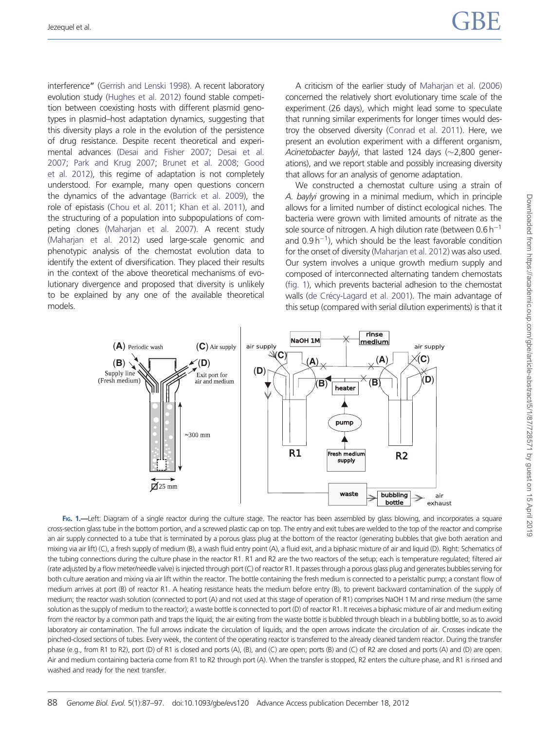interference" ([Gerrish and Lenski 1998\)](#page-9-0). A recent laboratory evolution study ([Hughes et al. 2012](#page-10-0)) found stable competition between coexisting hosts with different plasmid genotypes in plasmid–host adaptation dynamics, suggesting that this diversity plays a role in the evolution of the persistence of drug resistance. Despite recent theoretical and experimental advances ([Desai and Fisher 2007](#page-9-0); [Desai et al.](#page-9-0) [2007;](#page-9-0) [Park and Krug 2007](#page-10-0); [Brunet et al. 2008](#page-9-0); [Good](#page-9-0) [et al. 2012](#page-9-0)), this regime of adaptation is not completely understood. For example, many open questions concern the dynamics of the advantage ([Barrick et al. 2009\)](#page-9-0), the role of epistasis ([Chou et al. 2011;](#page-9-0) [Khan et al. 2011\)](#page-10-0), and the structuring of a population into subpopulations of competing clones ([Maharjan et al. 2007\)](#page-10-0). A recent study [\(Maharjan et al. 2012](#page-10-0)) used large-scale genomic and phenotypic analysis of the chemostat evolution data to identify the extent of diversification. They placed their results in the context of the above theoretical mechanisms of evolutionary divergence and proposed that diversity is unlikely to be explained by any one of the available theoretical models.

A criticism of the earlier study of [Maharjan et al. \(2006\)](#page-10-0) concerned the relatively short evolutionary time scale of the experiment (26 days), which might lead some to speculate that running similar experiments for longer times would destroy the observed diversity [\(Conrad et al. 2011](#page-9-0)). Here, we present an evolution experiment with a different organism, Acinetobacter baylyi, that lasted 124 days  $(\sim$ 2,800 generations), and we report stable and possibly increasing diversity that allows for an analysis of genome adaptation.

We constructed a chemostat culture using a strain of A. baylyi growing in a minimal medium, which in principle allows for a limited number of distinct ecological niches. The bacteria were grown with limited amounts of nitrate as the sole source of nitrogen. A high dilution rate (between  $0.6 h^{-1}$ and  $0.9 h^{-1}$ ), which should be the least favorable condition for the onset of diversity ([Maharjan et al. 2012](#page-10-0)) was also used. Our system involves a unique growth medium supply and composed of interconnected alternating tandem chemostats (fig. 1), which prevents bacterial adhesion to the chemostat walls (de Cré[cy-Lagard et al. 2001\)](#page-9-0). The main advantage of this setup (compared with serial dilution experiments) is that it



FIG. 1.—Left: Diagram of a single reactor during the culture stage. The reactor has been assembled by glass blowing, and incorporates a square cross-section glass tube in the bottom portion, and a screwed plastic cap on top. The entry and exit tubes are welded to the top of the reactor and comprise an air supply connected to a tube that is terminated by a porous glass plug at the bottom of the reactor (generating bubbles that give both aeration and mixing via air lift) (C), a fresh supply of medium (B), a wash fluid entry point (A), a fluid exit, and a biphasic mixture of air and liquid (D). Right: Schematics of the tubing connections during the culture phase in the reactor R1. R1 and R2 are the two reactors of the setup; each is temperature regulated; filtered air (rate adjusted by a flow meter/needle valve) is injected through port (C) of reactor R1. It passes through a porous glass plug and generates bubbles serving for both culture aeration and mixing via air lift within the reactor. The bottle containing the fresh medium is connected to a peristaltic pump; a constant flow of medium arrives at port (B) of reactor R1. A heating resistance heats the medium before entry (B), to prevent backward contamination of the supply of medium; the reactor wash solution (connected to port (A) and not used at this stage of operation of R1) comprises NaOH 1 M and rinse medium (the same solution as the supply of medium to the reactor); a waste bottle is connected to port (D) of reactor R1. It receives a biphasic mixture of air and medium exiting from the reactor by a common path and traps the liquid; the air exiting from the waste bottle is bubbled through bleach in a bubbling bottle, so as to avoid laboratory air contamination. The full arrows indicate the circulation of liquids, and the open arrows indicate the circulation of air. Crosses indicate the pinched-closed sections of tubes. Every week, the content of the operating reactor is transferred to the already cleaned tandem reactor. During the transfer phase (e.g., from R1 to R2), port (D) of R1 is closed and ports (A), (B), and (C) are open; ports (B) and (C) of R2 are closed and ports (A) and (D) are open. Air and medium containing bacteria come from R1 to R2 through port (A). When the transfer is stopped, R2 enters the culture phase, and R1 is rinsed and washed and ready for the next transfer.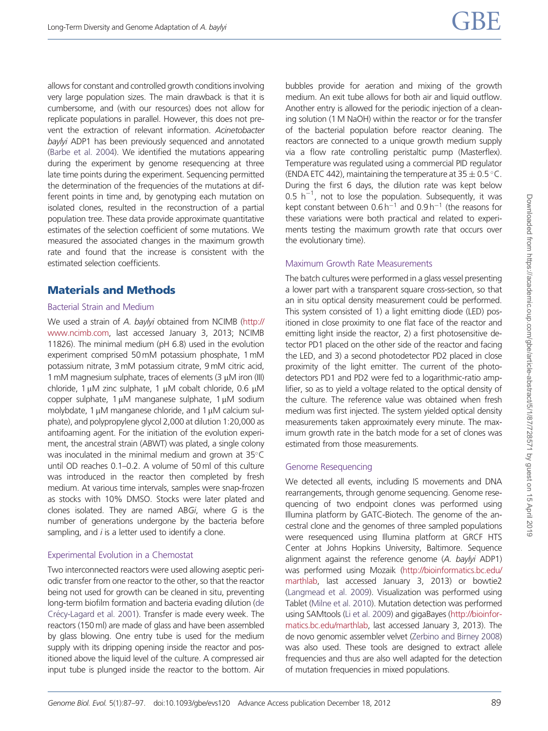allows for constant and controlled growth conditions involving very large population sizes. The main drawback is that it is cumbersome, and (with our resources) does not allow for replicate populations in parallel. However, this does not prevent the extraction of relevant information. Acinetobacter baylyi ADP1 has been previously sequenced and annotated [\(Barbe et al. 2004](#page-9-0)). We identified the mutations appearing during the experiment by genome resequencing at three late time points during the experiment. Sequencing permitted the determination of the frequencies of the mutations at different points in time and, by genotyping each mutation on isolated clones, resulted in the reconstruction of a partial population tree. These data provide approximate quantitative estimates of the selection coefficient of some mutations. We measured the associated changes in the maximum growth rate and found that the increase is consistent with the estimated selection coefficients.

## Materials and Methods

## Bacterial Strain and Medium

We used a strain of A. baylyi obtained from NCIMB [\(http://](http://www.ncimb.com) [www.ncimb.com](http://www.ncimb.com), last accessed January 3, 2013; NCIMB 11826). The minimal medium (pH 6.8) used in the evolution experiment comprised 50 mM potassium phosphate, 1 mM potassium nitrate, 3 mM potassium citrate, 9 mM citric acid, 1 mM magnesium sulphate, traces of elements (3  $\mu$ M iron (III) chloride,  $1 \mu$ M zinc sulphate,  $1 \mu$ M cobalt chloride, 0.6  $\mu$ M copper sulphate,  $1 \mu M$  manganese sulphate,  $1 \mu M$  sodium molybdate,  $1 \mu$ M manganese chloride, and  $1 \mu$ M calcium sulphate), and polypropylene glycol 2,000 at dilution 1:20,000 as antifoaming agent. For the initiation of the evolution experiment, the ancestral strain (ABWT) was plated, a single colony was inoculated in the minimal medium and grown at  $35^{\circ}$ C until OD reaches 0.1–0.2. A volume of 50 ml of this culture was introduced in the reactor then completed by fresh medium. At various time intervals, samples were snap-frozen as stocks with 10% DMSO. Stocks were later plated and clones isolated. They are named ABGi, where G is the number of generations undergone by the bacteria before sampling, and  $i$  is a letter used to identify a clone.

## Experimental Evolution in a Chemostat

Two interconnected reactors were used allowing aseptic periodic transfer from one reactor to the other, so that the reactor being not used for growth can be cleaned in situ, preventing long-term biofilm formation and bacteria evading dilution ([de](#page-9-0) Cré[cy-Lagard et al. 2001](#page-9-0)). Transfer is made every week. The reactors (150 ml) are made of glass and have been assembled by glass blowing. One entry tube is used for the medium supply with its dripping opening inside the reactor and positioned above the liquid level of the culture. A compressed air input tube is plunged inside the reactor to the bottom. Air bubbles provide for aeration and mixing of the growth medium. An exit tube allows for both air and liquid outflow. Another entry is allowed for the periodic injection of a cleaning solution (1 M NaOH) within the reactor or for the transfer of the bacterial population before reactor cleaning. The reactors are connected to a unique growth medium supply via a flow rate controlling peristaltic pump (Masterflex). Temperature was regulated using a commercial PID regulator (ENDA ETC 442), maintaining the temperature at  $35 \pm 0.5$  °C. During the first 6 days, the dilution rate was kept below 0.5  $h^{-1}$ , not to lose the population. Subsequently, it was kept constant between  $0.6 h^{-1}$  and  $0.9 h^{-1}$  (the reasons for these variations were both practical and related to experiments testing the maximum growth rate that occurs over the evolutionary time).

## Maximum Growth Rate Measurements

The batch cultures were performed in a glass vessel presenting a lower part with a transparent square cross-section, so that an in situ optical density measurement could be performed. This system consisted of 1) a light emitting diode (LED) positioned in close proximity to one flat face of the reactor and emitting light inside the reactor, 2) a first photosensitive detector PD1 placed on the other side of the reactor and facing the LED, and 3) a second photodetector PD2 placed in close proximity of the light emitter. The current of the photodetectors PD1 and PD2 were fed to a logarithmic-ratio amplifier, so as to yield a voltage related to the optical density of the culture. The reference value was obtained when fresh medium was first injected. The system yielded optical density measurements taken approximately every minute. The maximum growth rate in the batch mode for a set of clones was estimated from those measurements.

## Genome Resequencing

We detected all events, including IS movements and DNA rearrangements, through genome sequencing. Genome resequencing of two endpoint clones was performed using Illumina platform by GATC-Biotech. The genome of the ancestral clone and the genomes of three sampled populations were resequenced using Illumina platform at GRCF HTS Center at Johns Hopkins University, Baltimore. Sequence alignment against the reference genome (A. baylyi ADP1) was performed using Mozaik [\(http://bioinformatics.bc.edu/](http://bioinformatics.bc.edu/marthlab) [marthlab,](http://bioinformatics.bc.edu/marthlab) last accessed January 3, 2013) or bowtie2 ([Langmead et al. 2009](#page-10-0)). Visualization was performed using Tablet ([Milne et al. 2010\)](#page-10-0). Mutation detection was performed using SAMtools [\(Li et al. 2009\)](#page-10-0) and gigaBayes [\(http://bioinfor](http://bioinformatics.bc.edu/marthlab)[matics.bc.edu/marthlab,](http://bioinformatics.bc.edu/marthlab) last accessed January 3, 2013). The de novo genomic assembler velvet [\(Zerbino and Birney 2008](#page-10-0)) was also used. These tools are designed to extract allele frequencies and thus are also well adapted for the detection of mutation frequencies in mixed populations.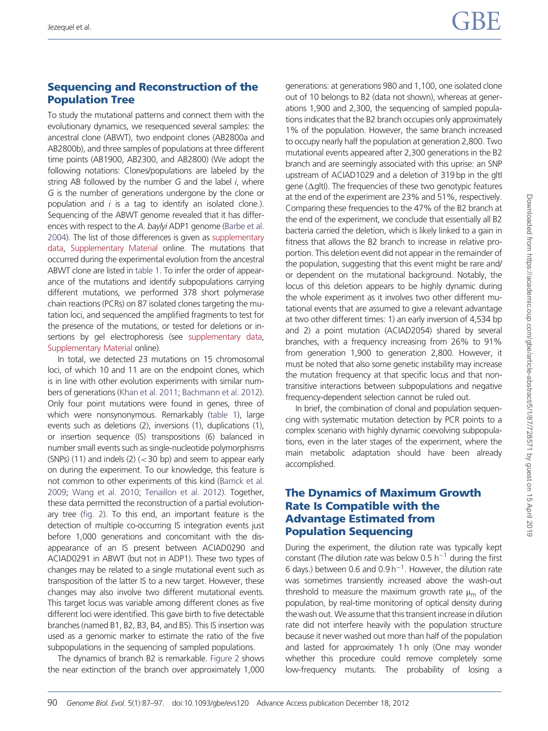## Sequencing and Reconstruction of the Population Tree

To study the mutational patterns and connect them with the evolutionary dynamics, we resequenced several samples: the ancestral clone (ABWT), two endpoint clones (AB2800a and AB2800b), and three samples of populations at three different time points (AB1900, AB2300, and AB2800) (We adopt the following notations: Clones/populations are labeled by the string AB followed by the number  $G$  and the label  $i$ , where G is the number of generations undergone by the clone or population and  $i$  is a tag to identify an isolated clone.). Sequencing of the ABWT genome revealed that it has differ-ences with respect to the A. baylyi ADP1 genome [\(Barbe et al.](#page-9-0) [2004\)](#page-9-0). The list of those differences is given as [supplementary](http://gbe.oxfordjournals.org/lookup/suppl/doi:10.1093/gbe/evs120/-/DC1) [data,](http://gbe.oxfordjournals.org/lookup/suppl/doi:10.1093/gbe/evs120/-/DC1) [Supplementary Material](http://gbe.oxfordjournals.org/lookup/suppl/doi:10.1093/gbe/evs120/-/DC1) online. The mutations that occurred during the experimental evolution from the ancestral ABWT clone are listed in [table 1](#page-4-0). To infer the order of appearance of the mutations and identify subpopulations carrying different mutations, we performed 378 short polymerase chain reactions (PCRs) on 87 isolated clones targeting the mutation loci, and sequenced the amplified fragments to test for the presence of the mutations, or tested for deletions or insertions by gel electrophoresis (see [supplementary data,](http://gbe.oxfordjournals.org/lookup/suppl/doi:10.1093/gbe/evs120/-/DC1) [Supplementary Material](http://gbe.oxfordjournals.org/lookup/suppl/doi:10.1093/gbe/evs120/-/DC1) online).

In total, we detected 23 mutations on 15 chromosomal loci, of which 10 and 11 are on the endpoint clones, which is in line with other evolution experiments with similar numbers of generations [\(Khan et al. 2011](#page-10-0); [Bachmann et al. 2012](#page-9-0)). Only four point mutations were found in genes, three of which were nonsynonymous. Remarkably ([table 1\)](#page-4-0), large events such as deletions (2), inversions (1), duplications (1), or insertion sequence (IS) transpositions (6) balanced in number small events such as single-nucleotide polymorphisms (SNPs) (11) and indels (2)  $(<$  30 bp) and seem to appear early on during the experiment. To our knowledge, this feature is not common to other experiments of this kind [\(Barrick et al.](#page-9-0) [2009;](#page-9-0) [Wang et al. 2010](#page-10-0); [Tenaillon et al. 2012](#page-10-0)). Together, these data permitted the reconstruction of a partial evolutionary tree [\(fig. 2](#page-6-0)). To this end, an important feature is the detection of multiple co-occurring IS integration events just before 1,000 generations and concomitant with the disappearance of an IS present between ACIAD0290 and ACIAD0291 in ABWT (but not in ADP1). These two types of changes may be related to a single mutational event such as transposition of the latter IS to a new target. However, these changes may also involve two different mutational events. This target locus was variable among different clones as five different loci were identified. This gave birth to five detectable branches (named B1, B2, B3, B4, and B5). This IS insertion was used as a genomic marker to estimate the ratio of the five subpopulations in the sequencing of sampled populations.

The dynamics of branch B2 is remarkable. [Figure 2](#page-6-0) shows the near extinction of the branch over approximately 1,000 generations: at generations 980 and 1,100, one isolated clone out of 10 belongs to B2 (data not shown), whereas at generations 1,900 and 2,300, the sequencing of sampled populations indicates that the B2 branch occupies only approximately 1% of the population. However, the same branch increased to occupy nearly half the population at generation 2,800. Two mutational events appeared after 2,300 generations in the B2 branch and are seemingly associated with this uprise: an SNP upstream of ACIAD1029 and a deletion of 319 bp in the gltl gene ( $\Delta$ gltl). The frequencies of these two genotypic features at the end of the experiment are 23% and 51%, respectively. Comparing these frequencies to the 47% of the B2 branch at the end of the experiment, we conclude that essentially all B2 bacteria carried the deletion, which is likely linked to a gain in fitness that allows the B2 branch to increase in relative proportion. This deletion event did not appear in the remainder of the population, suggesting that this event might be rare and/ or dependent on the mutational background. Notably, the locus of this deletion appears to be highly dynamic during the whole experiment as it involves two other different mutational events that are assumed to give a relevant advantage at two other different times: 1) an early inversion of 4,534 bp and 2) a point mutation (ACIAD2054) shared by several branches, with a frequency increasing from 26% to 91% from generation 1,900 to generation 2,800. However, it must be noted that also some genetic instability may increase the mutation frequency at that specific locus and that nontransitive interactions between subpopulations and negative frequency-dependent selection cannot be ruled out.

In brief, the combination of clonal and population sequencing with systematic mutation detection by PCR points to a complex scenario with highly dynamic coevolving subpopulations, even in the later stages of the experiment, where the main metabolic adaptation should have been already accomplished.

## The Dynamics of Maximum Growth Rate Is Compatible with the Advantage Estimated from Population Sequencing

During the experiment, the dilution rate was typically kept constant (The dilution rate was below 0.5  $h^{-1}$  during the first 6 days.) between 0.6 and  $0.9 h^{-1}$ . However, the dilution rate was sometimes transiently increased above the wash-out threshold to measure the maximum growth rate  $\mu_{\rm m}$  of the population, by real-time monitoring of optical density during the wash out. We assume that this transient increase in dilution rate did not interfere heavily with the population structure because it never washed out more than half of the population and lasted for approximately 1 h only (One may wonder whether this procedure could remove completely some low-frequency mutants. The probability of losing a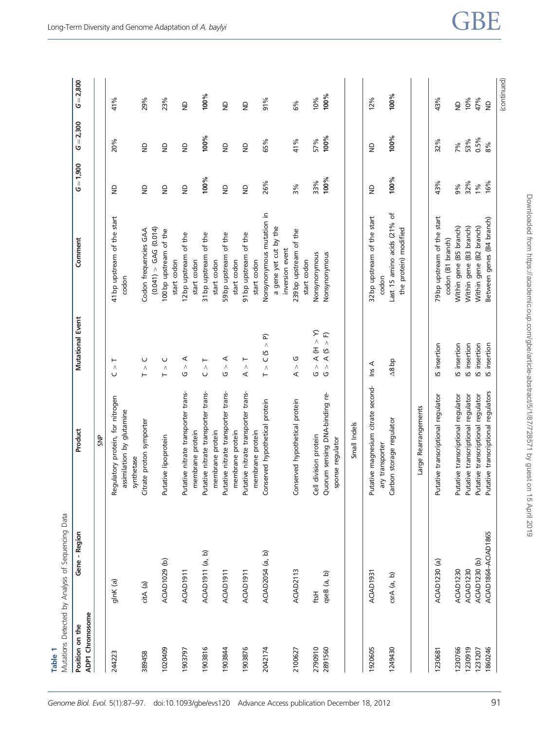<span id="page-4-0"></span>

| Table 1                                   | Mutations Detected by Analysis of Sequencing Data |                                                                             |                                                           |                                                                   |                                                               |                |                         |
|-------------------------------------------|---------------------------------------------------|-----------------------------------------------------------------------------|-----------------------------------------------------------|-------------------------------------------------------------------|---------------------------------------------------------------|----------------|-------------------------|
| <b>ADP1</b> Chromosome<br>Position on the | Gene - Region                                     | Product                                                                     | Mutational Event                                          | Comment                                                           | $G = 1,900$                                                   | $= 2,300$<br>ပ | $= 2,800$<br>৩          |
|                                           |                                                   | SNP                                                                         |                                                           |                                                                   |                                                               |                |                         |
| 244223                                    | glnK (a)                                          | Regulatory protein, for nitrogen<br>assimilation by glutamine<br>synthetase | Λ<br>U                                                    | 41 bp upstream of the start<br>codon                              | $\frac{1}{2}$                                                 | 20%            | 41%                     |
| 389458                                    | citA (a)                                          | Citrate proton symporter                                                    | U<br>$\wedge$<br>$\vdash$                                 | Codon frequencies GAA                                             | $\frac{\Omega}{\Omega}$                                       | $\triangleq$   | 29%                     |
| 1020409                                   | ACIAD1029 (b)                                     | Putative lipoprotein                                                        | U<br>Λ<br>⊢                                               | (0.041) > GAG (0.014)<br>100 bp upstream of the<br>start codon    | $\frac{\Omega}{\Omega}$                                       | $\overline{z}$ | 23%                     |
| 1903797                                   | ACIAD1911                                         | Putative nitrate transporter trans-<br>membrane protein                     | ⋖<br>$\wedge$<br>G                                        | of the<br>12 bp upstream<br>start codon                           | $\frac{\Omega}{\Sigma}$                                       | $\overline{z}$ | $\frac{\Omega}{\Omega}$ |
| 1903816                                   | ACIAD1911 (a, b)                                  | Putative nitrate transporter trans-                                         | ⊢<br>Λ<br>U                                               | of the<br>31 bp upstream<br>start codon                           | 100%                                                          | 100%           | 100%                    |
| 1903844                                   | ACIAD1911                                         | Putative nitrate transporter trans-<br>membrane protein<br>membrane protein | ⋖<br>$\wedge$<br>G                                        | 59 bp upstream of the<br>start codon                              | $\frac{\Omega}{\Omega}$                                       | $\overline{z}$ | $\frac{\Omega}{\Omega}$ |
| 1903876                                   | ACIAD1911                                         | Putative nitrate transporter trans-                                         | ⊢<br>$\wedge$<br>⋖                                        | 91 bp upstream of the                                             | $\mathrel{\mathop{\raisebox{1.5pt}{\scriptsize g}}\nolimits}$ | $\triangleq$   | $\frac{\Omega}{\Omega}$ |
| 2042174                                   | ACIAD2054 (a, b)                                  | Conserved hypothetical protein<br>membrane protein                          | $\widehat{p}$<br>$\wedge$<br>C (S<br>$\wedge$<br>$\vdash$ | Nonsynonymous mutation in<br>a gene yet cut by the<br>start codon | 26%                                                           | 65%            | 91%                     |
| 2100627                                   | ACIAD2113                                         | Conserved hypothetical protein                                              | G<br>$\wedge$<br>⋖                                        | 239 bp upstream of the<br>inversion event<br>start codon          | 3%                                                            | 41%            | 6%                      |
| 2790910                                   | ftsH                                              | Cell division protein                                                       | $\mathcal{L}$<br>$\sim$ H) $\sim$<br>$\wedge$<br>G        | Nonsynonymous                                                     | 33%                                                           | 57%            | 10%                     |
| 2891560                                   | qseB (a, b)                                       | Quorum sensing DNA-binding re-<br>sponse regulator                          | $\overline{F}$<br>A(S)<br>$\wedge$<br>U                   | Nonsynonymous                                                     | 100%                                                          | 100%           | 100%                    |
|                                           |                                                   | Small Indels                                                                |                                                           |                                                                   |                                                               |                |                         |
| 1920605                                   | ACIAD1931                                         | Putative magnesium citrate second-<br>ary transporter                       | $\ln s$ A                                                 | 32 bp upstream of the start<br>codon                              | $\frac{\Omega}{\Omega}$                                       | $\triangleq$   | 12%                     |
| 1249430                                   | $crA$ (a, b)                                      | Carbon storage regulator                                                    | $\Delta$ 8 bp                                             | Last 15 amino acids (21% of<br>the protein) modified              | 100%                                                          | 100%           | 100%                    |
|                                           |                                                   | Large Rearrangements                                                        |                                                           |                                                                   |                                                               |                |                         |
| 1230681                                   | ACIAD1230 (a)                                     | Putative transcriptional regulator                                          | IS insertion                                              | 79 bp upstream of the start<br>codon (B1 branch)                  | 43%                                                           | 32%            | 43%                     |
| 1230766                                   | <b>ACIAD1230</b>                                  | Putative transcriptional regulator<br>Putative transcriptional regulator    | IS insertion                                              | Within gene (B5 branch)                                           | 32%<br>9%                                                     | 7%             | $\frac{1}{2}$           |
| 1230919<br>1231207                        | ACIAD1230 (b)<br>ACIAD1230                        |                                                                             | IS insertion<br>IS insertion                              | Within gene (B3 branch)<br>Within gene (B2 branch)                | 1%                                                            | $0.5\%$<br>53% | 10%<br>47%              |
| 1860246                                   | ACIAD1864-ACIAD1865                               | Putative transcriptional regulator<br>Putative transcriptional regulators   | IS insertion                                              | Between genes (B4 branch)                                         | 16%                                                           | 8%             | $\overline{z}$          |

# Downloaded from https://academic.oup.com/gbe/article-abstract/5/1/87/728571 by guest on 15 April 2019 Downloaded from https://academic.oup.com/gbe/article-abstract/5/1/87/728571 by guest on 15 April 2019

(continued)

(continued)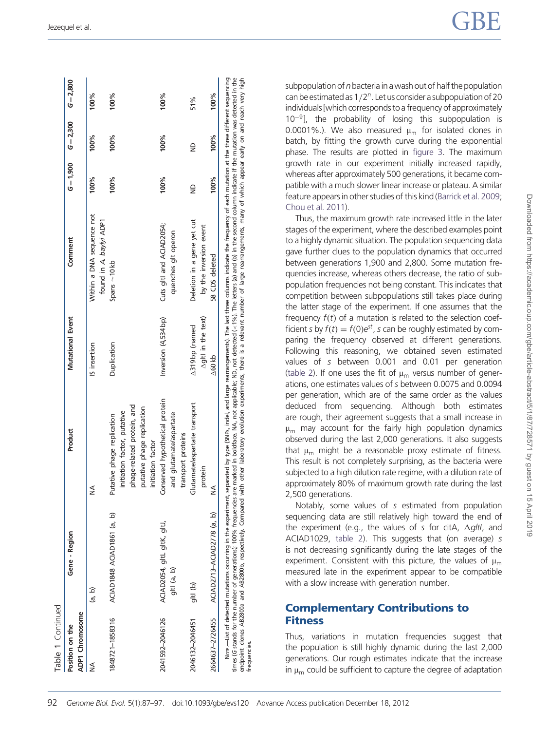| Position on the | Gene - Region                              | Product                                                                                                                                    | <b>Mutational Event</b>                      | Comment                                              | $G = 1,900$  | $G = 2,300$ | $G = 2,800$ |
|-----------------|--------------------------------------------|--------------------------------------------------------------------------------------------------------------------------------------------|----------------------------------------------|------------------------------------------------------|--------------|-------------|-------------|
| ADP1 Chromosome |                                            |                                                                                                                                            |                                              |                                                      |              |             |             |
| ≸               | (a, b)                                     | ≸                                                                                                                                          | IS insertion                                 | Within a DNA sequence not<br>found in A. baylyi ADP1 | 100%         | 100%        | 100%        |
| 1848721-1858316 | ACIAD1848 ACIAD1861 (a, b)                 | phage-related protein, and<br>putative phage replication<br>initiation factor, putative<br>Putative phage replication<br>initiation factor | Duplication                                  | Spans $\sim$ 10 kb                                   | 100%         | 100%        | 100%        |
| 2041592-2046126 | ACIAD2054, gltL gltK, gltJ,<br>giti (a, b) | Conserved hypothetical protein<br>and glutamate/aspartate<br>transport proteins                                                            | Inversion (4,534bp)                          | Cuts gltl and ACIAD2054;<br>quenches glt operon      | 100%         | 100%        | 100%        |
| 2046132-2046451 | gltl (b)                                   | Glutamate/aspartate transport<br>protein                                                                                                   | $\Delta$ giti in the text)<br>A319 bp (named | Deletion in a gene yet cut<br>by the inversion event | $\triangleq$ | ₿           | 51%         |
| 2664637-2726455 | ACIAD2713-ACIAD2778 (a, b)                 | ₹<br>2                                                                                                                                     | $\Delta$ 60kb                                | 58 CDS deleted                                       | $100\%$      | 100%        | 100%        |

subpopulation of  $n$  bacteria in a wash out of half the population can be estimated as  $1/2<sup>n</sup>$ . Let us consider a subpopulation of 20 individuals [which corresponds to a frequency of approximately  $10^{-9}$ ], the probability of losing this subpopulation is 0.0001%.). We also measured  $\mu_{\rm m}$  for isolated clones in batch, by fitting the growth curve during the exponential phase. The results are plotted in [figure 3](#page-7-0). The maximum growth rate in our experiment initially increased rapidly, whereas after approximately 500 generations, it became compatible with a much slower linear increase or plateau. A similar feature appears in other studies of this kind ([Barrick et al. 2009](#page-9-0); [Chou et al. 2011](#page-9-0)).

Thus, the maximum growth rate increased little in the later stages of the experiment, where the described examples point to a highly dynamic situation. The population sequencing data gave further clues to the population dynamics that occurred between generations 1,900 and 2,800. Some mutation frequencies increase, whereas others decrease, the ratio of subpopulation frequencies not being constant. This indicates that competition between subpopulations still takes place during the latter stage of the experiment. If one assumes that the frequency  $f(t)$  of a mutation is related to the selection coefficient s by  $f(t) = f(0)e^{st}$ , s can be roughly estimated by comparing the frequency observed at different generations. Following this reasoning, we obtained seven estimated values of s between 0.001 and 0.01 per generation ([table 2](#page-7-0)). If one uses the fit of  $\mu_m$  versus number of generations, one estimates values of s between 0.0075 and 0.0094 per generation, which are of the same order as the values deduced from sequencing. Although both estimates are rough, their agreement suggests that a small increase in  $\mu_{\rm m}$  may account for the fairly high population dynamics observed during the last 2,000 generations. It also suggests that  $\mu_m$  might be a reasonable proxy estimate of fitness. This result is not completely surprising, as the bacteria were subjected to a high dilution rate regime, with a dilution rate of approximately 80% of maximum growth rate during the last 2,500 generations.

Notably, some values of s estimated from population sequencing data are still relatively high toward the end of the experiment (e.g., the values of s for citA,  $\Delta g/t$ , and ACIAD1029, [table 2\)](#page-7-0). This suggests that (on average) s is not decreasing significantly during the late stages of the experiment. Consistent with this picture, the values of  $\mu_m$ measured late in the experiment appear to be compatible with a slow increase with generation number.

## Complementary Contributions to **Fitness**

Thus, variations in mutation frequencies suggest that the population is still highly dynamic during the last 2,000 generations. Our rough estimates indicate that the increase in  $\mu_m$  could be sufficient to capture the degree of adaptation

frequencies.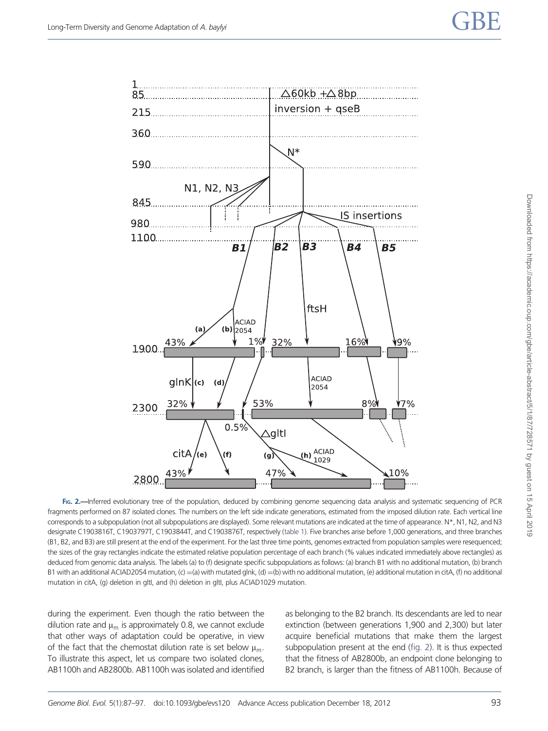<span id="page-6-0"></span>

FIG. 2.—Inferred evolutionary tree of the population, deduced by combining genome sequencing data analysis and systematic sequencing of PCR fragments performed on 87 isolated clones. The numbers on the left side indicate generations, estimated from the imposed dilution rate. Each vertical line corresponds to a subpopulation (not all subpopulations are displayed). Some relevant mutations are indicated at the time of appearance. N\*, N1, N2, and N3 designate C1903816T, C1903797T, C1903844T, and C1903876T, respectively [\(table 1](#page-4-0)). Five branches arise before 1,000 generations, and three branches (B1, B2, and B3) are still present at the end of the experiment. For the last three time points, genomes extracted from population samples were resequenced; the sizes of the gray rectangles indicate the estimated relative population percentage of each branch (% values indicated immediately above rectangles) as deduced from genomic data analysis. The labels (a) to (f) designate specific subpopulations as follows: (a) branch B1 with no additional mutation, (b) branch B1 with an additional ACIAD2054 mutation, (c) =(a) with mutated glnk, (d) =(b) with no additional mutation, (e) additional mutation in citA, (f) no additional mutation in citA, (g) deletion in gltI, and (h) deletion in gltI, plus ACIAD1029 mutation.

during the experiment. Even though the ratio between the dilution rate and  $\mu_{\rm m}$  is approximately 0.8, we cannot exclude that other ways of adaptation could be operative, in view of the fact that the chemostat dilution rate is set below  $\mu_m$ . To illustrate this aspect, let us compare two isolated clones, AB1100h and AB2800b. AB1100h was isolated and identified as belonging to the B2 branch. Its descendants are led to near extinction (between generations 1,900 and 2,300) but later acquire beneficial mutations that make them the largest subpopulation present at the end (fig. 2). It is thus expected that the fitness of AB2800b, an endpoint clone belonging to B2 branch, is larger than the fitness of AB1100h. Because of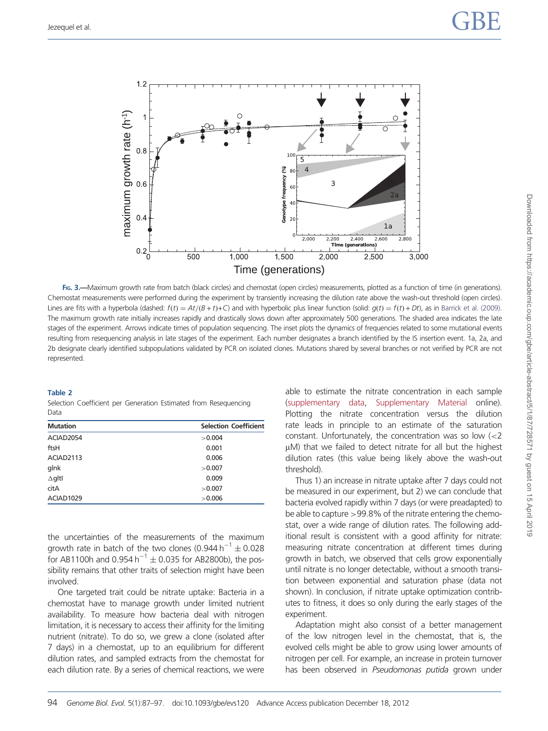<span id="page-7-0"></span>

FIG. 3.—Maximum growth rate from batch (black circles) and chemostat (open circles) measurements, plotted as a function of time (in generations). Chemostat measurements were performed during the experiment by transiently increasing the dilution rate above the wash-out threshold (open circles). Lines are fits with a hyperbola (dashed:  $f(t) = At/(B + t) + C$ ) and with hyperbolic plus linear function (solid:  $g(t) = f(t) + Dt$ ), as in [Barrick et al. \(2009\).](#page-9-0) The maximum growth rate initially increases rapidly and drastically slows down after approximately 500 generations. The shaded area indicates the late stages of the experiment. Arrows indicate times of population sequencing. The inset plots the dynamics of frequencies related to some mutational events resulting from resequencing analysis in late stages of the experiment. Each number designates a branch identified by the IS insertion event. 1a, 2a, and 2b designate clearly identified subpopulations validated by PCR on isolated clones. Mutations shared by several branches or not verified by PCR are not represented.

## Table 2

Selection Coefficient per Generation Estimated from Resequencing Data

| <b>Mutation</b>       | <b>Selection Coefficient</b> |
|-----------------------|------------------------------|
| ACIAD2054             | >0.004                       |
| ftsH                  | 0.001                        |
| ACIAD2113             | 0.006                        |
| glnk                  | >0.007                       |
| $\Delta$ gltl         | 0.009                        |
| citA                  | >0.007                       |
| ACIAD <sub>1029</sub> | >0.006                       |

the uncertainties of the measurements of the maximum growth rate in batch of the two clones  $(0.944 \, h^{-1} \pm 0.028$ for AB1100h and 0.954 h<sup>-1</sup>  $\pm$  0.035 for AB2800b), the possibility remains that other traits of selection might have been involved.

One targeted trait could be nitrate uptake: Bacteria in a chemostat have to manage growth under limited nutrient availability. To measure how bacteria deal with nitrogen limitation, it is necessary to access their affinity for the limiting nutrient (nitrate). To do so, we grew a clone (isolated after 7 days) in a chemostat, up to an equilibrium for different dilution rates, and sampled extracts from the chemostat for each dilution rate. By a series of chemical reactions, we were able to estimate the nitrate concentration in each sample ([supplementary data](http://gbe.oxfordjournals.org/lookup/suppl/doi:10.1093/gbe/evs120/-/DC1), [Supplementary Material](http://gbe.oxfordjournals.org/lookup/suppl/doi:10.1093/gbe/evs120/-/DC1) online). Plotting the nitrate concentration versus the dilution rate leads in principle to an estimate of the saturation constant. Unfortunately, the concentration was so low (<2  $\mu$ M) that we failed to detect nitrate for all but the highest dilution rates (this value being likely above the wash-out threshold).

Thus 1) an increase in nitrate uptake after 7 days could not be measured in our experiment, but 2) we can conclude that bacteria evolved rapidly within 7 days (or were preadapted) to be able to capture >99.8% of the nitrate entering the chemostat, over a wide range of dilution rates. The following additional result is consistent with a good affinity for nitrate: measuring nitrate concentration at different times during growth in batch, we observed that cells grow exponentially until nitrate is no longer detectable, without a smooth transition between exponential and saturation phase (data not shown). In conclusion, if nitrate uptake optimization contributes to fitness, it does so only during the early stages of the experiment.

Adaptation might also consist of a better management of the low nitrogen level in the chemostat, that is, the evolved cells might be able to grow using lower amounts of nitrogen per cell. For example, an increase in protein turnover has been observed in Pseudomonas putida grown under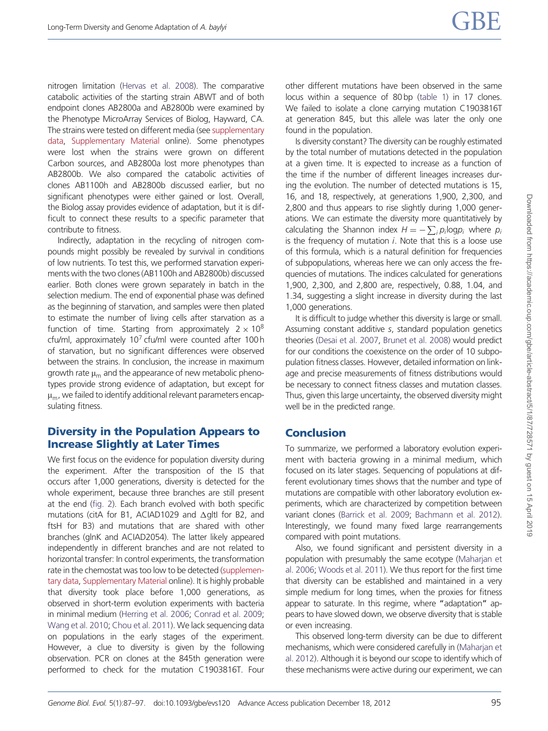nitrogen limitation ([Hervas et al. 2008\)](#page-10-0). The comparative catabolic activities of the starting strain ABWT and of both endpoint clones AB2800a and AB2800b were examined by the Phenotype MicroArray Services of Biolog, Hayward, CA. The strains were tested on different media (see [supplementary](http://gbe.oxfordjournals.org/lookup/suppl/doi:10.1093/gbe/evs120/-/DC1) [data,](http://gbe.oxfordjournals.org/lookup/suppl/doi:10.1093/gbe/evs120/-/DC1) [Supplementary Material](http://gbe.oxfordjournals.org/lookup/suppl/doi:10.1093/gbe/evs120/-/DC1) online). Some phenotypes were lost when the strains were grown on different Carbon sources, and AB2800a lost more phenotypes than AB2800b. We also compared the catabolic activities of clones AB1100h and AB2800b discussed earlier, but no significant phenotypes were either gained or lost. Overall, the Biolog assay provides evidence of adaptation, but it is difficult to connect these results to a specific parameter that contribute to fitness.

Indirectly, adaptation in the recycling of nitrogen compounds might possibly be revealed by survival in conditions of low nutrients. To test this, we performed starvation experiments with the two clones (AB1100h and AB2800b) discussed earlier. Both clones were grown separately in batch in the selection medium. The end of exponential phase was defined as the beginning of starvation, and samples were then plated to estimate the number of living cells after starvation as a function of time. Starting from approximately  $2 \times 10^8$ cfu/ml, approximately  $10<sup>7</sup>$  cfu/ml were counted after 100 h of starvation, but no significant differences were observed between the strains. In conclusion, the increase in maximum growth rate  $\mu_m$  and the appearance of new metabolic phenotypes provide strong evidence of adaptation, but except for  $\mu_m$ , we failed to identify additional relevant parameters encapsulating fitness.

## Diversity in the Population Appears to Increase Slightly at Later Times

We first focus on the evidence for population diversity during the experiment. After the transposition of the IS that occurs after 1,000 generations, diversity is detected for the whole experiment, because three branches are still present at the end ([fig. 2](#page-6-0)). Each branch evolved with both specific mutations (citA for B1, ACIAD1029 and  $\Delta$ gltI for B2, and ftsH for B3) and mutations that are shared with other branches (glnK and ACIAD2054). The latter likely appeared independently in different branches and are not related to horizontal transfer: In control experiments, the transformation rate in the chemostat was too low to be detected [\(supplemen](http://gbe.oxfordjournals.org/lookup/suppl/doi:10.1093/gbe/evs120/-/DC1)[tary data](http://gbe.oxfordjournals.org/lookup/suppl/doi:10.1093/gbe/evs120/-/DC1), [Supplementary Material](http://gbe.oxfordjournals.org/lookup/suppl/doi:10.1093/gbe/evs120/-/DC1) online). It is highly probable that diversity took place before 1,000 generations, as observed in short-term evolution experiments with bacteria in minimal medium [\(Herring et al. 2006;](#page-10-0) [Conrad et al. 2009;](#page-9-0) [Wang et al. 2010;](#page-10-0) [Chou et al. 2011\)](#page-9-0). We lack sequencing data on populations in the early stages of the experiment. However, a clue to diversity is given by the following observation. PCR on clones at the 845th generation were performed to check for the mutation C1903816T. Four other different mutations have been observed in the same locus within a sequence of 80 bp [\(table 1](#page-4-0)) in 17 clones. We failed to isolate a clone carrying mutation C1903816T at generation 845, but this allele was later the only one found in the population.

Is diversity constant? The diversity can be roughly estimated by the total number of mutations detected in the population at a given time. It is expected to increase as a function of the time if the number of different lineages increases during the evolution. The number of detected mutations is 15, 16, and 18, respectively, at generations 1,900, 2,300, and 2,800 and thus appears to rise slightly during 1,000 generations. We can estimate the diversity more quantitatively by calculating the Shannon index  $H = -\sum_i p_i \log p_i$  where  $p_i$ is the frequency of mutation  $i$ . Note that this is a loose use of this formula, which is a natural definition for frequencies of subpopulations, whereas here we can only access the frequencies of mutations. The indices calculated for generations 1,900, 2,300, and 2,800 are, respectively, 0.88, 1.04, and 1.34, suggesting a slight increase in diversity during the last 1,000 generations.

It is difficult to judge whether this diversity is large or small. Assuming constant additive s, standard population genetics theories [\(Desai et al. 2007](#page-9-0), [Brunet et al. 2008](#page-9-0)) would predict for our conditions the coexistence on the order of 10 subpopulation fitness classes. However, detailed information on linkage and precise measurements of fitness distributions would be necessary to connect fitness classes and mutation classes. Thus, given this large uncertainty, the observed diversity might well be in the predicted range.

## Conclusion

To summarize, we performed a laboratory evolution experiment with bacteria growing in a minimal medium, which focused on its later stages. Sequencing of populations at different evolutionary times shows that the number and type of mutations are compatible with other laboratory evolution experiments, which are characterized by competition between variant clones ([Barrick et al. 2009](#page-9-0); [Bachmann et al. 2012\)](#page-9-0). Interestingly, we found many fixed large rearrangements compared with point mutations.

Also, we found significant and persistent diversity in a population with presumably the same ecotype [\(Maharjan et](#page-10-0) [al. 2006;](#page-10-0) [Woods et al. 2011\)](#page-10-0). We thus report for the first time that diversity can be established and maintained in a very simple medium for long times, when the proxies for fitness appear to saturate. In this regime, where "adaptation" appears to have slowed down, we observe diversity that is stable or even increasing.

This observed long-term diversity can be due to different mechanisms, which were considered carefully in [\(Maharjan et](#page-10-0) [al. 2012\)](#page-10-0). Although it is beyond our scope to identify which of these mechanisms were active during our experiment, we can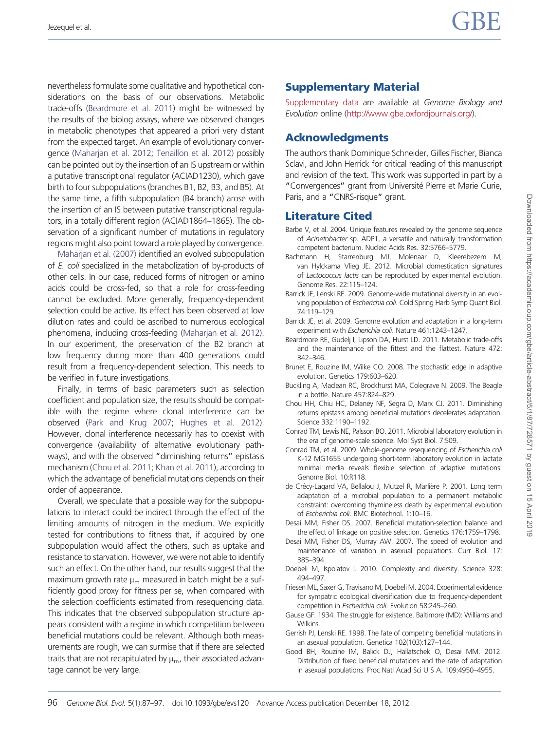<span id="page-9-0"></span>nevertheless formulate some qualitative and hypothetical considerations on the basis of our observations. Metabolic trade-offs (Beardmore et al. 2011) might be witnessed by the results of the biolog assays, where we observed changes in metabolic phenotypes that appeared a priori very distant from the expected target. An example of evolutionary convergence [\(Maharjan et al. 2012](#page-10-0); [Tenaillon et al. 2012\)](#page-10-0) possibly can be pointed out by the insertion of an IS upstream or within a putative transcriptional regulator (ACIAD1230), which gave birth to four subpopulations (branches B1, B2, B3, and B5). At the same time, a fifth subpopulation (B4 branch) arose with the insertion of an IS between putative transcriptional regulators, in a totally different region (ACIAD1864–1865). The observation of a significant number of mutations in regulatory regions might also point toward a role played by convergence.

[Maharjan et al. \(2007\)](#page-10-0) identified an evolved subpopulation of E. coli specialized in the metabolization of by-products of other cells. In our case, reduced forms of nitrogen or amino acids could be cross-fed, so that a role for cross-feeding cannot be excluded. More generally, frequency-dependent selection could be active. Its effect has been observed at low dilution rates and could be ascribed to numerous ecological phenomena, including cross-feeding [\(Maharjan et al. 2012](#page-10-0)). In our experiment, the preservation of the B2 branch at low frequency during more than 400 generations could result from a frequency-dependent selection. This needs to be verified in future investigations.

Finally, in terms of basic parameters such as selection coefficient and population size, the results should be compatible with the regime where clonal interference can be observed ([Park and Krug 2007](#page-10-0); [Hughes et al. 2012](#page-10-0)). However, clonal interference necessarily has to coexist with convergence (availability of alternative evolutionary pathways), and with the observed "diminishing returns" epistasis mechanism (Chou et al. 2011; [Khan et al. 2011](#page-10-0)), according to which the advantage of beneficial mutations depends on their order of appearance.

Overall, we speculate that a possible way for the subpopulations to interact could be indirect through the effect of the limiting amounts of nitrogen in the medium. We explicitly tested for contributions to fitness that, if acquired by one subpopulation would affect the others, such as uptake and resistance to starvation. However, we were not able to identify such an effect. On the other hand, our results suggest that the maximum growth rate  $\mu_m$  measured in batch might be a sufficiently good proxy for fitness per se, when compared with the selection coefficients estimated from resequencing data. This indicates that the observed subpopulation structure appears consistent with a regime in which competition between beneficial mutations could be relevant. Although both measurements are rough, we can surmise that if there are selected traits that are not recapitulated by  $\mu_m$ , their associated advantage cannot be very large.

## Supplementary Material

[Supplementary data](http://gbe.oxfordjournals.org/lookup/suppl/doi:10.1093/gbe/evs120/-/DC1) are available at Genome Biology and Evolution online [\(http://www.gbe.oxfordjournals.org/](http://www.gbe.oxfordjournals.org/)).

## Acknowledgments

The authors thank Dominique Schneider, Gilles Fischer, Bianca Sclavi, and John Herrick for critical reading of this manuscript and revision of the text. This work was supported in part by a "Convergences" grant from Université Pierre et Marie Curie, Paris, and a "CNRS-risque" grant.

## Literature Cited

- Barbe V, et al. 2004. Unique features revealed by the genome sequence of Acinetobacter sp. ADP1, a versatile and naturally transformation competent bacterium. Nucleic Acids Res. 32:5766–5779.
- Bachmann H, Starrenburg MJ, Molenaar D, Kleerebezem M, van Hylckama Vlieg JE. 2012. Microbial domestication signatures of Lactococcus lactis can be reproduced by experimental evolution. Genome Res. 22:115–124.
- Barrick JE, Lenski RE. 2009. Genome-wide mutational diversity in an evolving population of Escherichia coli. Cold Spring Harb Symp Quant Biol. 74:119–129.
- Barrick JE, et al. 2009. Genome evolution and adaptation in a long-term experiment with Escherichia coli. Nature 461:1243–1247.
- Beardmore RE, Gudelj I, Lipson DA, Hurst LD. 2011. Metabolic trade-offs and the maintenance of the fittest and the flattest. Nature 472: 342–346.
- Brunet E, Rouzine IM, Wilke CO. 2008. The stochastic edge in adaptive evolution. Genetics 179:603–620.
- Buckling A, Maclean RC, Brockhurst MA, Colegrave N. 2009. The Beagle in a bottle. Nature 457:824–829.
- Chou HH, Chiu HC, Delaney NF, Segra D, Marx CJ. 2011. Diminishing returns epistasis among beneficial mutations decelerates adaptation. Science 332:1190–1192.
- Conrad TM, Lewis NE, Palsson BO. 2011. Microbial laboratory evolution in the era of genome-scale science. Mol Syst Biol. 7:509.
- Conrad TM, et al. 2009. Whole-genome resequencing of Escherichia coli K-12 MG1655 undergoing short-term laboratory evolution in lactate minimal media reveals flexible selection of adaptive mutations. Genome Biol. 10:R118.
- de Crécy-Lagard VA, Bellalou J, Mutzel R, Marlière P. 2001. Long term adaptation of a microbial population to a permanent metabolic constraint: overcoming thymineless death by experimental evolution of Escherichia coli. BMC Biotechnol. 1:10–16.
- Desai MM, Fisher DS. 2007. Beneficial mutation-selection balance and the effect of linkage on positive selection. Genetics 176:1759–1798.
- Desai MM, Fisher DS, Murray AW. 2007. The speed of evolution and maintenance of variation in asexual populations. Curr Biol. 17: 385–394.
- Doebeli M, Ispolatov I. 2010. Complexity and diversity. Science 328: 494–497.
- Friesen ML, Saxer G, Travisano M, Doebeli M. 2004. Experimental evidence for sympatric ecological diversification due to frequency-dependent competition in Escherichia coli. Evolution 58:245–260.
- Gause GF. 1934. The struggle for existence. Baltimore (MD): Williams and Wilkins.
- Gerrish PJ, Lenski RE. 1998. The fate of competing beneficial mutations in an asexual population. Genetica 102(103):127–144.
- Good BH, Rouzine IM, Balick DJ, Hallatschek O, Desai MM. 2012. Distribution of fixed beneficial mutations and the rate of adaptation in asexual populations. Proc Natl Acad Sci U S A. 109:4950–4955.